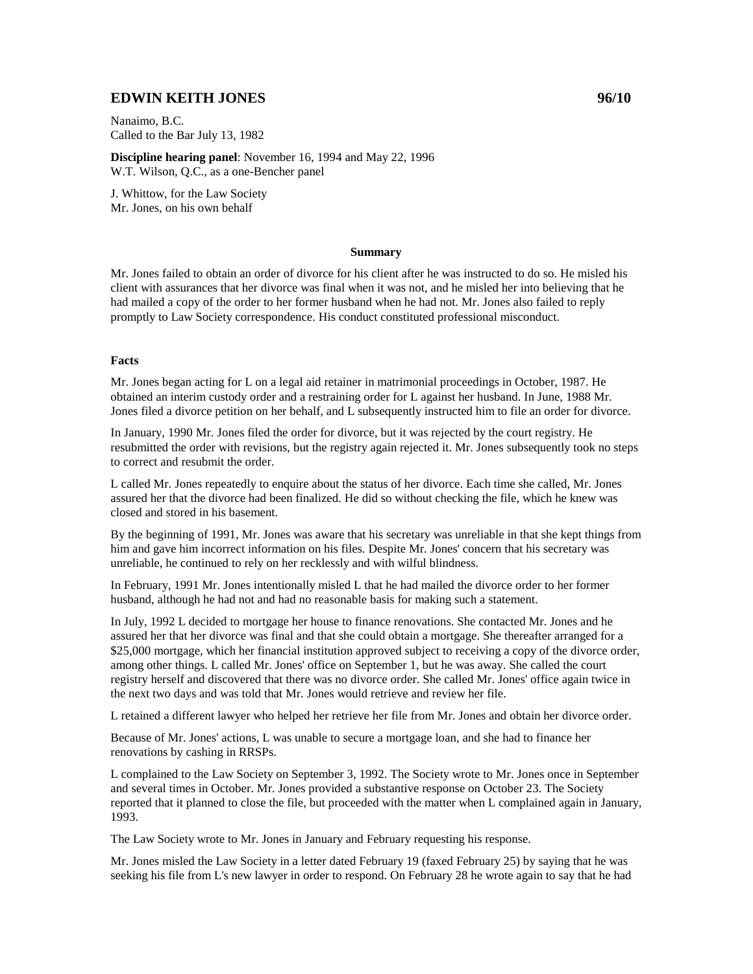# **EDWIN KEITH JONES 96/10**

Nanaimo, B.C. Called to the Bar July 13, 1982

**Discipline hearing panel**: November 16, 1994 and May 22, 1996 W.T. Wilson, Q.C., as a one-Bencher panel

J. Whittow, for the Law Society Mr. Jones, on his own behalf

#### **Summary**

Mr. Jones failed to obtain an order of divorce for his client after he was instructed to do so. He misled his client with assurances that her divorce was final when it was not, and he misled her into believing that he had mailed a copy of the order to her former husband when he had not. Mr. Jones also failed to reply promptly to Law Society correspondence. His conduct constituted professional misconduct.

#### **Facts**

Mr. Jones began acting for L on a legal aid retainer in matrimonial proceedings in October, 1987. He obtained an interim custody order and a restraining order for L against her husband. In June, 1988 Mr. Jones filed a divorce petition on her behalf, and L subsequently instructed him to file an order for divorce.

In January, 1990 Mr. Jones filed the order for divorce, but it was rejected by the court registry. He resubmitted the order with revisions, but the registry again rejected it. Mr. Jones subsequently took no steps to correct and resubmit the order.

L called Mr. Jones repeatedly to enquire about the status of her divorce. Each time she called, Mr. Jones assured her that the divorce had been finalized. He did so without checking the file, which he knew was closed and stored in his basement.

By the beginning of 1991, Mr. Jones was aware that his secretary was unreliable in that she kept things from him and gave him incorrect information on his files. Despite Mr. Jones' concern that his secretary was unreliable, he continued to rely on her recklessly and with wilful blindness.

In February, 1991 Mr. Jones intentionally misled L that he had mailed the divorce order to her former husband, although he had not and had no reasonable basis for making such a statement.

In July, 1992 L decided to mortgage her house to finance renovations. She contacted Mr. Jones and he assured her that her divorce was final and that she could obtain a mortgage. She thereafter arranged for a \$25,000 mortgage, which her financial institution approved subject to receiving a copy of the divorce order, among other things. L called Mr. Jones' office on September 1, but he was away. She called the court registry herself and discovered that there was no divorce order. She called Mr. Jones' office again twice in the next two days and was told that Mr. Jones would retrieve and review her file.

L retained a different lawyer who helped her retrieve her file from Mr. Jones and obtain her divorce order.

Because of Mr. Jones' actions, L was unable to secure a mortgage loan, and she had to finance her renovations by cashing in RRSPs.

L complained to the Law Society on September 3, 1992. The Society wrote to Mr. Jones once in September and several times in October. Mr. Jones provided a substantive response on October 23. The Society reported that it planned to close the file, but proceeded with the matter when L complained again in January, 1993.

The Law Society wrote to Mr. Jones in January and February requesting his response.

Mr. Jones misled the Law Society in a letter dated February 19 (faxed February 25) by saying that he was seeking his file from L's new lawyer in order to respond. On February 28 he wrote again to say that he had